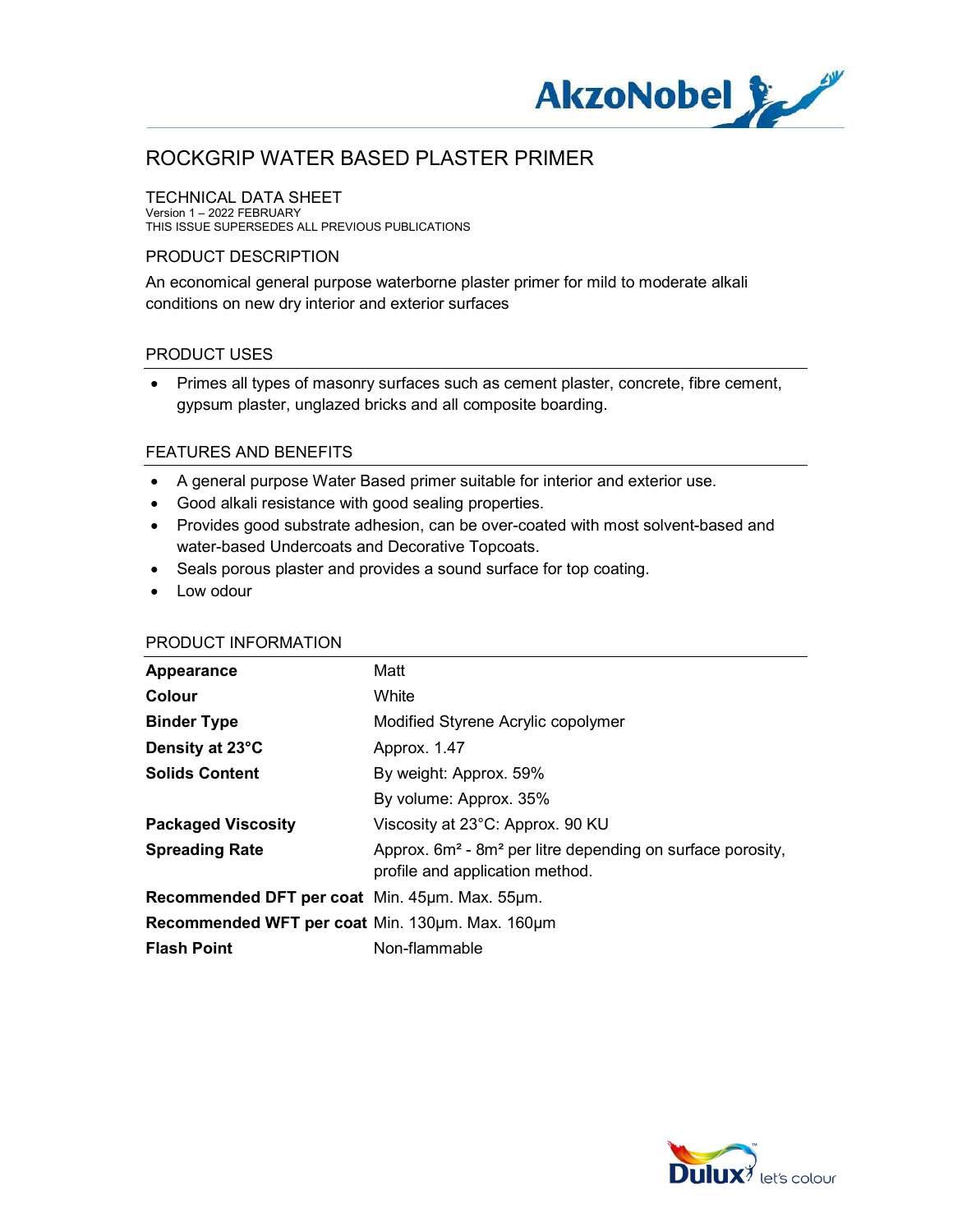

### TECHNICAL DATA SHEET

Version 1 – 2022 FEBRUARY THIS ISSUE SUPERSEDES ALL PREVIOUS PUBLICATIONS

### PRODUCT DESCRIPTION

An economical general purpose waterborne plaster primer for mild to moderate alkali conditions on new dry interior and exterior surfaces

### PRODUCT USES

 Primes all types of masonry surfaces such as cement plaster, concrete, fibre cement, gypsum plaster, unglazed bricks and all composite boarding.

#### FEATURES AND BENEFITS

- A general purpose Water Based primer suitable for interior and exterior use.
- Good alkali resistance with good sealing properties.
- Provides good substrate adhesion, can be over-coated with most solvent-based and water-based Undercoats and Decorative Topcoats.
- Seals porous plaster and provides a sound surface for top coating.
- Low odour

#### PRODUCT INFORMATION

| Appearance                                      | Matt                                                                                                |
|-------------------------------------------------|-----------------------------------------------------------------------------------------------------|
| Colour                                          | White                                                                                               |
| <b>Binder Type</b>                              | Modified Styrene Acrylic copolymer                                                                  |
| Density at 23°C                                 | Approx. 1.47                                                                                        |
| <b>Solids Content</b>                           | By weight: Approx. 59%                                                                              |
|                                                 | By volume: Approx. 35%                                                                              |
| <b>Packaged Viscosity</b>                       | Viscosity at 23°C: Approx. 90 KU                                                                    |
| <b>Spreading Rate</b>                           | Approx. $6m^2$ - $8m^2$ per litre depending on surface porosity,<br>profile and application method. |
| Recommended DFT per coat Min. 45um. Max. 55um.  |                                                                                                     |
| Recommended WFT per coat Min. 130um. Max. 160um |                                                                                                     |
| <b>Flash Point</b>                              | Non-flammable                                                                                       |

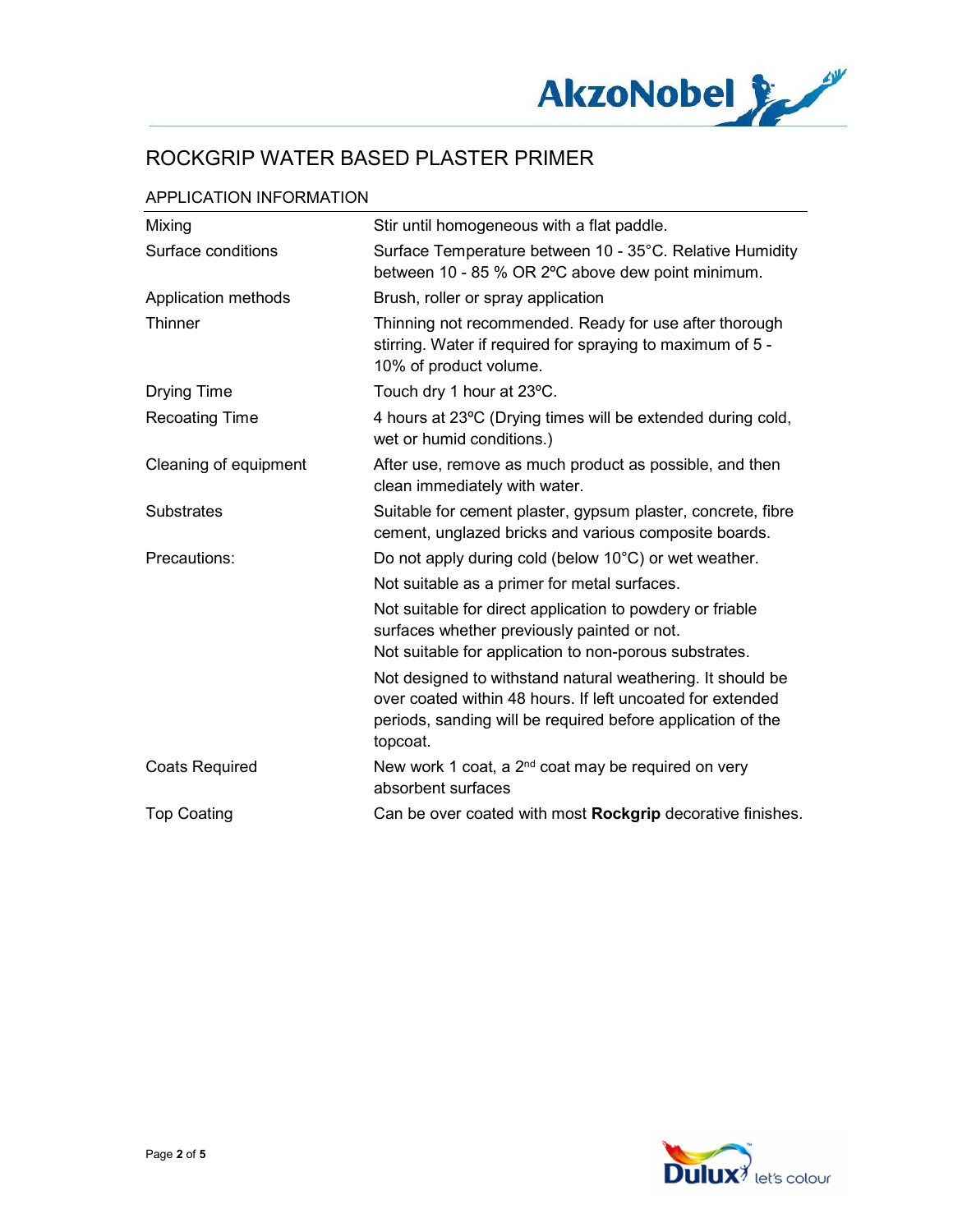

## APPLICATION INFORMATION

| Mixing                | Stir until homogeneous with a flat paddle.                                                                                                                                                          |
|-----------------------|-----------------------------------------------------------------------------------------------------------------------------------------------------------------------------------------------------|
| Surface conditions    | Surface Temperature between 10 - 35°C. Relative Humidity<br>between 10 - 85 % OR 2°C above dew point minimum.                                                                                       |
| Application methods   | Brush, roller or spray application                                                                                                                                                                  |
| Thinner               | Thinning not recommended. Ready for use after thorough<br>stirring. Water if required for spraying to maximum of 5 -<br>10% of product volume.                                                      |
| <b>Drying Time</b>    | Touch dry 1 hour at 23°C.                                                                                                                                                                           |
| <b>Recoating Time</b> | 4 hours at 23°C (Drying times will be extended during cold,<br>wet or humid conditions.)                                                                                                            |
| Cleaning of equipment | After use, remove as much product as possible, and then<br>clean immediately with water.                                                                                                            |
| <b>Substrates</b>     | Suitable for cement plaster, gypsum plaster, concrete, fibre<br>cement, unglazed bricks and various composite boards.                                                                               |
| Precautions:          | Do not apply during cold (below 10°C) or wet weather.                                                                                                                                               |
|                       | Not suitable as a primer for metal surfaces.                                                                                                                                                        |
|                       | Not suitable for direct application to powdery or friable<br>surfaces whether previously painted or not.                                                                                            |
|                       | Not suitable for application to non-porous substrates.                                                                                                                                              |
|                       | Not designed to withstand natural weathering. It should be<br>over coated within 48 hours. If left uncoated for extended<br>periods, sanding will be required before application of the<br>topcoat. |
| <b>Coats Required</b> | New work 1 coat, a 2 <sup>nd</sup> coat may be required on very<br>absorbent surfaces                                                                                                               |
| <b>Top Coating</b>    | Can be over coated with most Rockgrip decorative finishes.                                                                                                                                          |

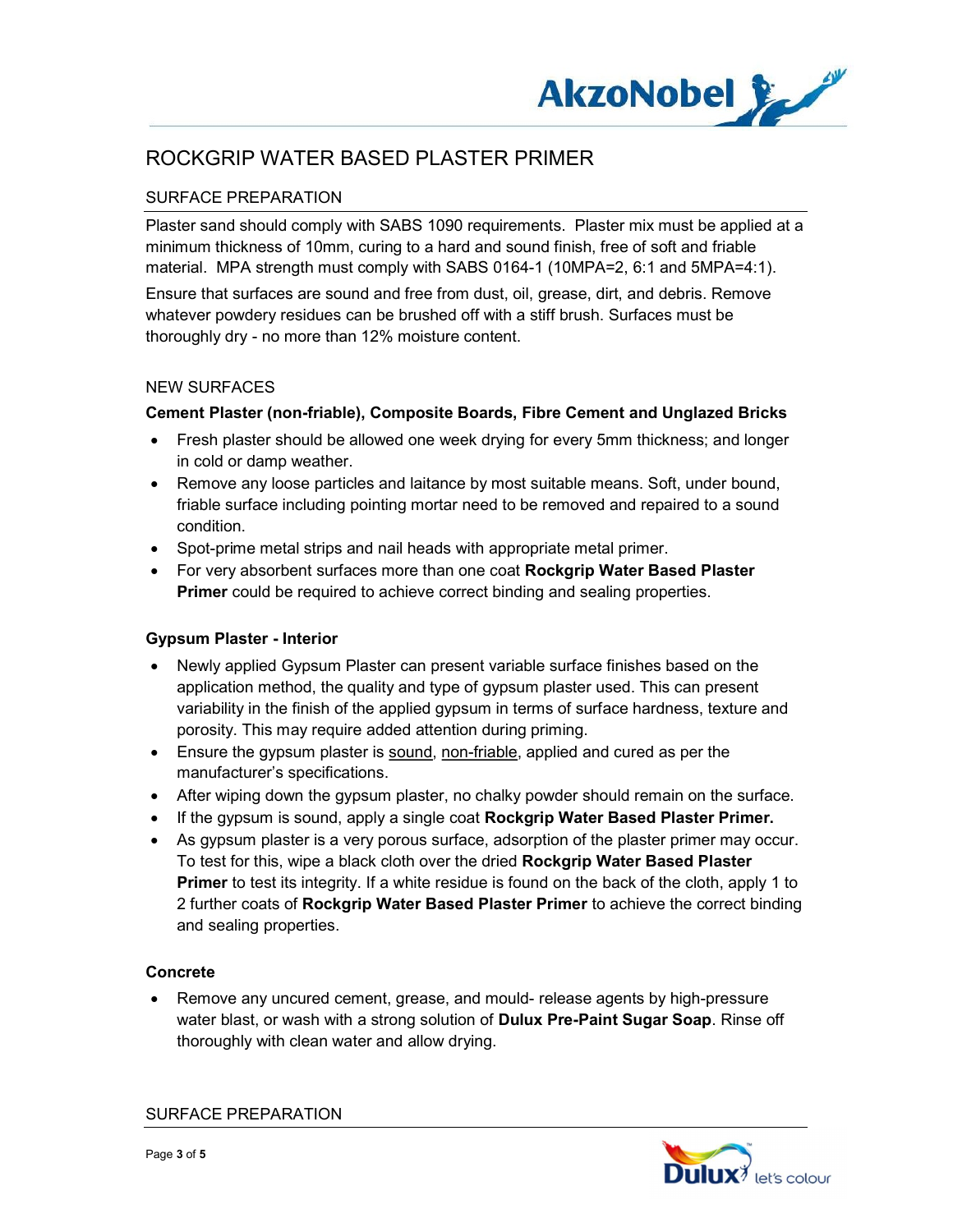

## SURFACE PREPARATION

Plaster sand should comply with SABS 1090 requirements. Plaster mix must be applied at a minimum thickness of 10mm, curing to a hard and sound finish, free of soft and friable material. MPA strength must comply with SABS 0164-1 (10MPA=2, 6:1 and 5MPA=4:1).

Ensure that surfaces are sound and free from dust, oil, grease, dirt, and debris. Remove whatever powdery residues can be brushed off with a stiff brush. Surfaces must be thoroughly dry - no more than 12% moisture content.

#### NEW SURFACES

### Cement Plaster (non-friable), Composite Boards, Fibre Cement and Unglazed Bricks

- Fresh plaster should be allowed one week drying for every 5mm thickness; and longer in cold or damp weather.
- Remove any loose particles and laitance by most suitable means. Soft, under bound, friable surface including pointing mortar need to be removed and repaired to a sound condition.
- Spot-prime metal strips and nail heads with appropriate metal primer.
- For very absorbent surfaces more than one coat Rockgrip Water Based Plaster **Primer** could be required to achieve correct binding and sealing properties.

## Gypsum Plaster - Interior

- Newly applied Gypsum Plaster can present variable surface finishes based on the application method, the quality and type of gypsum plaster used. This can present variability in the finish of the applied gypsum in terms of surface hardness, texture and porosity. This may require added attention during priming.
- Ensure the gypsum plaster is sound, non-friable, applied and cured as per the manufacturer's specifications.
- After wiping down the gypsum plaster, no chalky powder should remain on the surface.
- If the gypsum is sound, apply a single coat **Rockgrip Water Based Plaster Primer.**
- As gypsum plaster is a very porous surface, adsorption of the plaster primer may occur. To test for this, wipe a black cloth over the dried Rockgrip Water Based Plaster **Primer** to test its integrity. If a white residue is found on the back of the cloth, apply 1 to 2 further coats of Rockgrip Water Based Plaster Primer to achieve the correct binding and sealing properties.

#### Concrete

 Remove any uncured cement, grease, and mould- release agents by high-pressure water blast, or wash with a strong solution of **Dulux Pre-Paint Sugar Soap**. Rinse off thoroughly with clean water and allow drying.

SURFACE PREPARATION

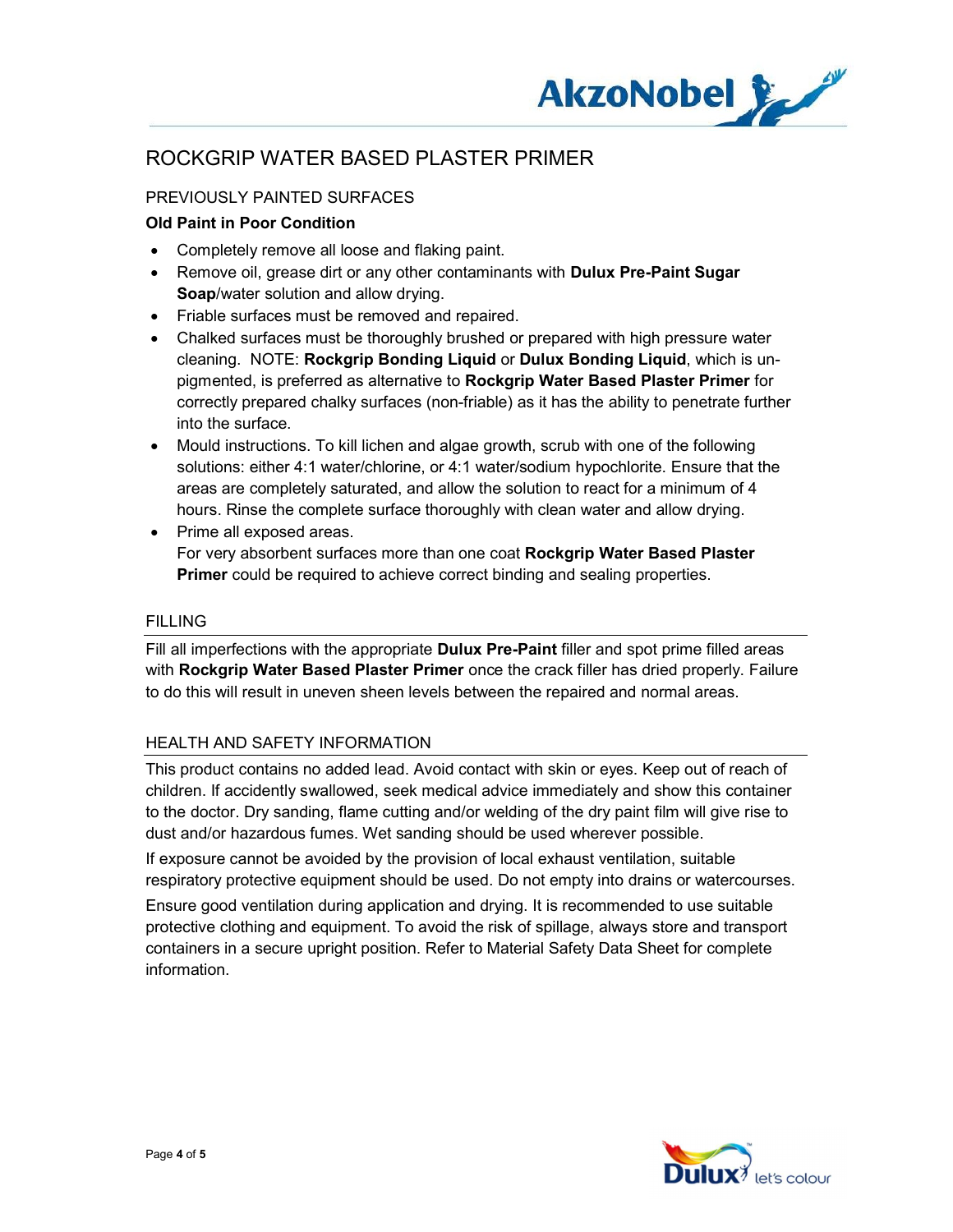

## PREVIOUSLY PAINTED SURFACES

### Old Paint in Poor Condition

- Completely remove all loose and flaking paint.
- Remove oil, grease dirt or any other contaminants with Dulux Pre-Paint Sugar Soap/water solution and allow drying.
- Friable surfaces must be removed and repaired.
- Chalked surfaces must be thoroughly brushed or prepared with high pressure water cleaning. NOTE: Rockgrip Bonding Liquid or Dulux Bonding Liquid, which is unpigmented, is preferred as alternative to Rockgrip Water Based Plaster Primer for correctly prepared chalky surfaces (non-friable) as it has the ability to penetrate further into the surface.
- Mould instructions. To kill lichen and algae growth, scrub with one of the following solutions: either 4:1 water/chlorine, or 4:1 water/sodium hypochlorite. Ensure that the areas are completely saturated, and allow the solution to react for a minimum of 4 hours. Rinse the complete surface thoroughly with clean water and allow drying.
- Prime all exposed areas. For very absorbent surfaces more than one coat Rockgrip Water Based Plaster **Primer** could be required to achieve correct binding and sealing properties.

#### FILLING

Fill all imperfections with the appropriate **Dulux Pre-Paint** filler and spot prime filled areas with Rockgrip Water Based Plaster Primer once the crack filler has dried properly. Failure to do this will result in uneven sheen levels between the repaired and normal areas.

#### HEALTH AND SAFETY INFORMATION

This product contains no added lead. Avoid contact with skin or eyes. Keep out of reach of children. If accidently swallowed, seek medical advice immediately and show this container to the doctor. Dry sanding, flame cutting and/or welding of the dry paint film will give rise to dust and/or hazardous fumes. Wet sanding should be used wherever possible.

If exposure cannot be avoided by the provision of local exhaust ventilation, suitable respiratory protective equipment should be used. Do not empty into drains or watercourses.

Ensure good ventilation during application and drying. It is recommended to use suitable protective clothing and equipment. To avoid the risk of spillage, always store and transport containers in a secure upright position. Refer to Material Safety Data Sheet for complete information.